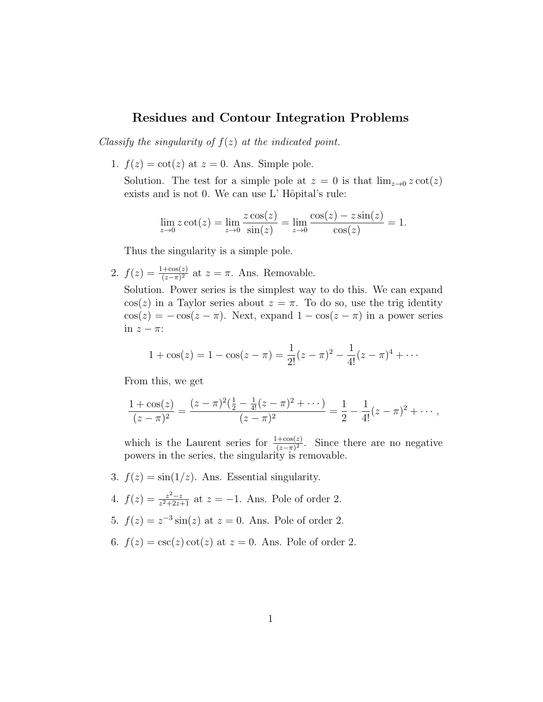## Residues and Contour Integration Problems

Classify the singularity of  $f(z)$  at the indicated point.

1.  $f(z) = \cot(z)$  at  $z = 0$ . Ans. Simple pole.

Solution. The test for a simple pole at  $z = 0$  is that  $\lim_{z\to 0} z \cot(z)$ exists and is not 0. We can use  $L'$  Hôpital's rule:

$$
\lim_{z \to 0} z \cot(z) = \lim_{z \to 0} \frac{z \cos(z)}{\sin(z)} = \lim_{z \to 0} \frac{\cos(z) - z \sin(z)}{\cos(z)} = 1.
$$

Thus the singularity is a simple pole.

2.  $f(z) = \frac{1+\cos(z)}{(z-\pi)^2}$  at  $z = \pi$ . Ans. Removable.

Solution. Power series is the simplest way to do this. We can expand  $\cos(z)$  in a Taylor series about  $z = \pi$ . To do so, use the trig identity  $\cos(z) = -\cos(z - \pi)$ . Next, expand  $1 - \cos(z - \pi)$  in a power series in  $z - \pi$ :

$$
1 + \cos(z) = 1 - \cos(z - \pi) = \frac{1}{2!}(z - \pi)^2 - \frac{1}{4!}(z - \pi)^4 + \cdots
$$

From this, we get

$$
\frac{1+\cos(z)}{(z-\pi)^2}=\frac{(z-\pi)^2(\frac{1}{2}-\frac{1}{4!}(z-\pi)^2+\cdots)}{(z-\pi)^2}=\frac{1}{2}-\frac{1}{4!}(z-\pi)^2+\cdots,
$$

which is the Laurent series for  $\frac{1+\cos(z)}{(z-\pi)^2}$ . Since there are no negative powers in the series, the singularity is removable.

- 3.  $f(z) = \sin(1/z)$ . Ans. Essential singularity.
- 4.  $f(z) = \frac{z^2-z}{z^2+2z}$  $\frac{z^2-z}{z^2+2z+1}$  at  $z=-1$ . Ans. Pole of order 2.
- 5.  $f(z) = z^{-3} \sin(z)$  at  $z = 0$ . Ans. Pole of order 2.
- 6.  $f(z) = \csc(z) \cot(z)$  at  $z = 0$ . Ans. Pole of order 2.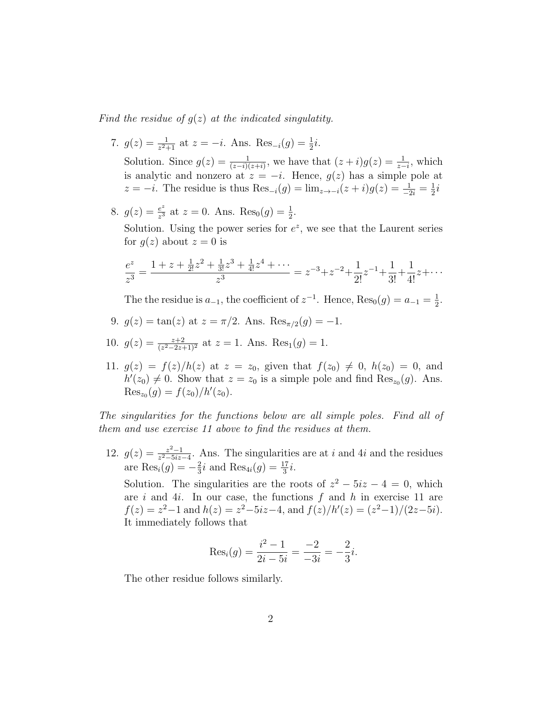Find the residue of  $g(z)$  at the indicated singulatity.

- 7.  $g(z) = \frac{1}{z^2+1}$  at  $z = -i$ . Ans.  $\text{Res}_{-i}(g) = \frac{1}{2}i$ . Solution. Since  $g(z) = \frac{1}{(z-i)(z+i)}$ , we have that  $(z+i)g(z) = \frac{1}{z-i}$ , which is analytic and nonzero at  $z = -i$ . Hence,  $g(z)$  has a simple pole at  $z = -i$ . The residue is thus  $\text{Res}_{-i}(g) = \lim_{z \to -i} (z + i)g(z) = \frac{1}{-2i} = \frac{1}{2}$  $\frac{1}{2}i$
- 8.  $g(z) = \frac{e^z}{z^3}$  $\frac{e^z}{z^3}$  at  $z = 0$ . Ans.  $\text{Res}_0(g) = \frac{1}{2}$ . Solution. Using the power series for  $e^z$ , we see that the Laurent series for  $q(z)$  about  $z = 0$  is

$$
\frac{e^z}{z^3} = \frac{1+z+\frac{1}{2!}z^2+\frac{1}{3!}z^3+\frac{1}{4!}z^4+\cdots}{z^3} = z^{-3}+z^{-2}+\frac{1}{2!}z^{-1}+\frac{1}{3!}+\frac{1}{4!}z+\cdots
$$

The the residue is  $a_{-1}$ , the coefficient of  $z^{-1}$ . Hence,  $\text{Res}_{0}(g) = a_{-1} = \frac{1}{2}$  $\frac{1}{2}$ .

- 9.  $g(z) = \tan(z)$  at  $z = \pi/2$ . Ans.  $\text{Res}_{\pi/2}(g) = -1$ .
- 10.  $g(z) = \frac{z+2}{(z^2-2z+1)^2}$  at  $z = 1$ . Ans. Res<sub>1</sub> $(g) = 1$ .
- 11.  $g(z) = f(z)/h(z)$  at  $z = z_0$ , given that  $f(z_0) \neq 0$ ,  $h(z_0) = 0$ , and  $h'(z_0) \neq 0$ . Show that  $z = z_0$  is a simple pole and find  $\text{Res}_{z_0}(g)$ . Ans.  $\text{Res}_{z_0}(g) = f(z_0)/h'(z_0).$

The singularities for the functions below are all simple poles. Find all of them and use exercise 11 above to find the residues at them.

12.  $g(z) = \frac{z^2-1}{z^2-5iz}$  $\frac{z^2-1}{z^2-5iz-4}$ . Ans. The singularities are at i and 4i and the residues are  $\text{Res}_{i}(g) = -\frac{2}{3}$  $\frac{2}{3}i$  and  $\text{Res}_{4i}(g) = \frac{17}{3}i$ .

Solution. The singularities are the roots of  $z^2 - 5iz - 4 = 0$ , which are  $i$  and  $4i$ . In our case, the functions  $f$  and  $h$  in exercise 11 are  $f(z) = z^2 - 1$  and  $h(z) = z^2 - 5iz - 4$ , and  $f(z)/h'(z) = (z^2 - 1)/(2z - 5i)$ . It immediately follows that

$$
Res_i(g) = \frac{i^2 - 1}{2i - 5i} = \frac{-2}{-3i} = -\frac{2}{3}i.
$$

The other residue follows similarly.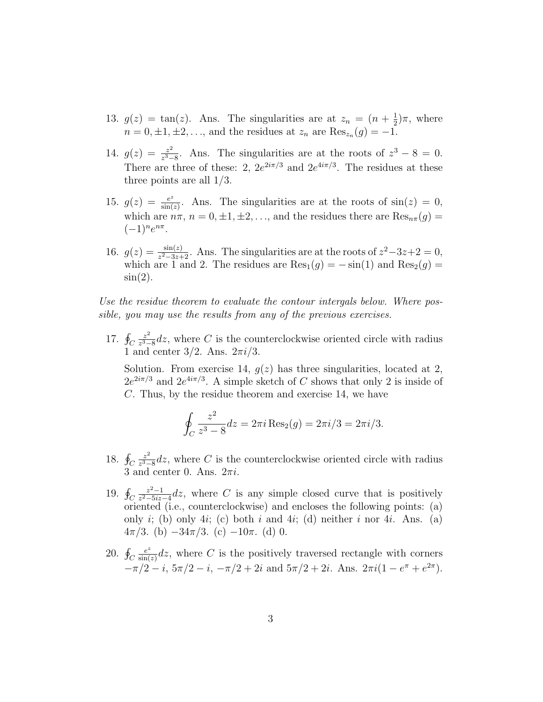- 13.  $g(z) = \tan(z)$ . Ans. The singularities are at  $z_n = (n + \frac{1}{2})$  $(\frac{1}{2})\pi$ , where  $n = 0, \pm 1, \pm 2, \ldots$ , and the residues at  $z_n$  are  $\text{Res}_{z_n}(g) = -1$ .
- 14.  $g(z) = \frac{z^2}{z^3}$  $\frac{z^2}{z^3-8}$ . Ans. The singularities are at the roots of  $z^3-8=0$ . There are three of these: 2,  $2e^{2i\pi/3}$  and  $2e^{4i\pi/3}$ . The residues at these three points are all 1/3.
- 15.  $g(z) = \frac{e^z}{\sin(z)}$  $\frac{e^z}{\sin(z)}$ . Ans. The singularities are at the roots of  $\sin(z) = 0$ , which are  $n\pi$ ,  $n = 0, \pm 1, \pm 2, \ldots$ , and the residues there are  $\text{Res}_{n\pi}(g)$  $(-1)^n e^{n\pi}.$
- 16.  $g(z) = \frac{\sin(z)}{z^2 3z + 2}$ . Ans. The singularities are at the roots of  $z^2 3z + 2 = 0$ , which are 1 and 2. The residues are  $\text{Res}_1(g) = -\sin(1)$  and  $\text{Res}_2(g) =$  $\sin(2)$ .

Use the residue theorem to evaluate the contour intergals below. Where possible, you may use the results from any of the previous exercises.

17.  $\oint_C$  $z^2$  $\frac{z^2}{z^3-8}$ dz, where C is the counterclockwise oriented circle with radius 1 and center  $3/2$ . Ans.  $2\pi i/3$ .

Solution. From exercise 14,  $g(z)$  has three singularities, located at 2,  $2e^{2i\pi/3}$  and  $2e^{4i\pi/3}$ . A simple sketch of C shows that only 2 is inside of C. Thus, by the residue theorem and exercise 14, we have

$$
\oint_C \frac{z^2}{z^3 - 8} dz = 2\pi i \operatorname{Res}_2(g) = 2\pi i/3 = 2\pi i/3.
$$

- 18.  $\oint_C$  $z^2$  $\frac{z^2}{z^3-8}$ dz, where C is the counterclockwise oriented circle with radius 3 and center 0. Ans.  $2\pi i$ .
- 19.  $\oint_C$  $z^2-1$  $\frac{z^2-1}{z^2-5iz-4}$ dz, where C is any simple closed curve that is positively oriented (i.e., counterclockwise) and encloses the following points: (a) only i; (b) only 4i; (c) both i and 4i; (d) neither i nor 4i. Ans. (a)  $4\pi/3$ . (b)  $-34\pi/3$ . (c)  $-10\pi$ . (d) 0.
- 20.  $\oint_C$ e z  $\frac{e^2}{\sin(z)}dz$ , where C is the positively traversed rectangle with corners  $-\pi/2 - i$ ,  $5\pi/2 - i$ ,  $-\pi/2 + 2i$  and  $5\pi/2 + 2i$ . Ans.  $2\pi i(1 - e^{\pi} + e^{2\pi})$ .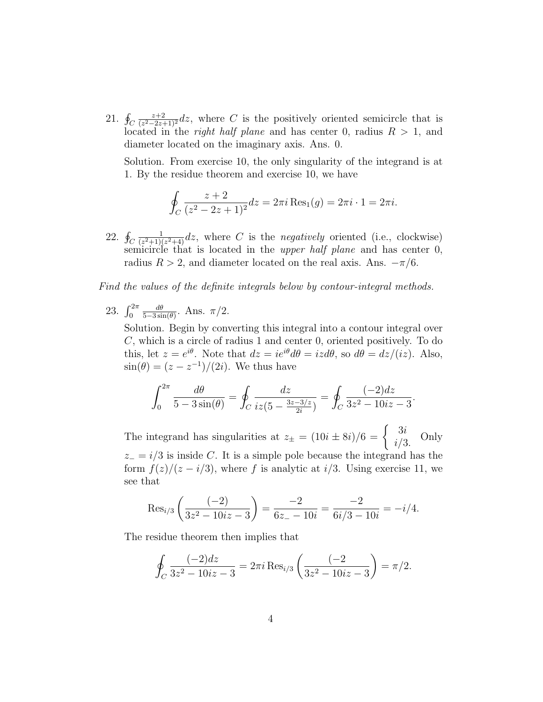21.  $\oint_C$ z+2  $\frac{z+2}{(z^2-2z+1)^2}$ dz, where C is the positively oriented semicircle that is located in the *right half plane* and has center 0, radius  $R > 1$ , and diameter located on the imaginary axis. Ans. 0.

Solution. From exercise 10, the only singularity of the integrand is at 1. By the residue theorem and exercise 10, we have

$$
\oint_C \frac{z+2}{(z^2-2z+1)^2} dz = 2\pi i \operatorname{Res}_1(g) = 2\pi i \cdot 1 = 2\pi i.
$$

22.  $\oint_C$ 1  $\frac{1}{(z^2+1)(z^2+4)}dz$ , where C is the negatively oriented (i.e., clockwise) semicircle that is located in the upper half plane and has center 0, radius  $R > 2$ , and diameter located on the real axis. Ans.  $-\pi/6$ .

Find the values of the definite integrals below by contour-integral methods.

23.  $\int_0^{2\pi}$  $d\theta$  $\frac{d\theta}{5-3\sin(\theta)}$ . Ans.  $\pi/2$ .

Solution. Begin by converting this integral into a contour integral over C, which is a circle of radius 1 and center 0, oriented positively. To do this, let  $z = e^{i\theta}$ . Note that  $dz = ie^{i\theta} d\theta = iz d\theta$ , so  $d\theta = dz/(iz)$ . Also,  $\sin(\theta) = (z - z^{-1})/(2i)$ . We thus have

$$
\int_0^{2\pi} \frac{d\theta}{5 - 3\sin(\theta)} = \oint_C \frac{dz}{iz(5 - \frac{3z - 3/z}{2i})} = \oint_C \frac{(-2)dz}{3z^2 - 10iz - 3}.
$$

The integrand has singularities at  $z_{\pm} = (10i \pm 8i)/6 = \begin{cases} 3i \\ 3i \end{cases}$  $i/3$ . Only  $z_$  =  $i/3$  is inside C. It is a simple pole because the integrand has the form  $f(z)/(z - i/3)$ , where f is analytic at i/3. Using exercise 11, we see that

$$
\operatorname{Res}_{i/3}\left(\frac{(-2)}{3z^2 - 10iz - 3}\right) = \frac{-2}{6z - 10i} = \frac{-2}{6i/3 - 10i} = -i/4.
$$

The residue theorem then implies that

$$
\oint_C \frac{(-2)dz}{3z^2 - 10iz - 3} = 2\pi i \operatorname{Res}_{i/3} \left( \frac{(-2)}{3z^2 - 10iz - 3} \right) = \pi/2.
$$